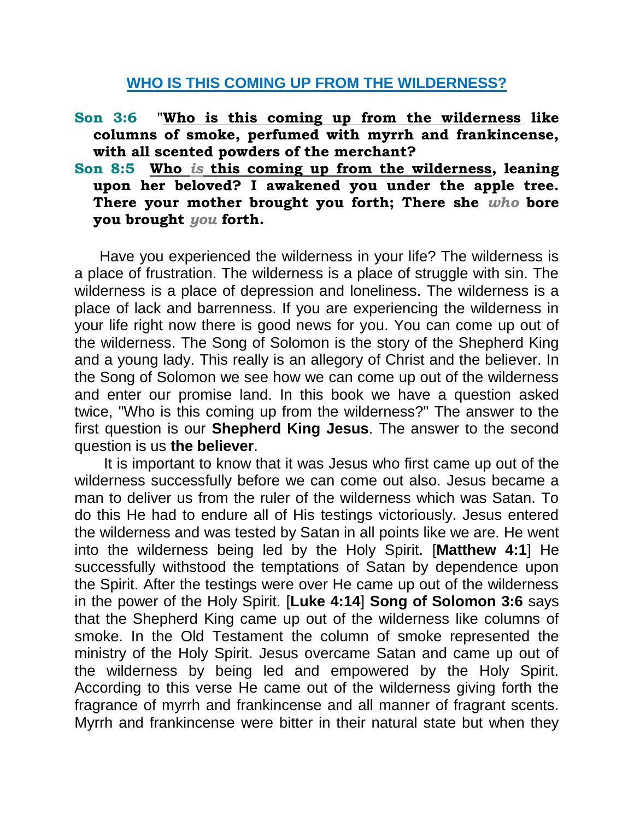## **WHO IS THIS COMING UP FROM THE WILDERNESS?**

- **Son 3:6 "Who is this coming up from the wilderness like columns of smoke, perfumed with myrrh and frankincense, with all scented powders of the merchant?**
- **Son 8:5 Who** *is* **this coming up from the wilderness, leaning upon her beloved? I awakened you under the apple tree. There your mother brought you forth; There she** *who* **bore you brought** *you* **forth.**

 Have you experienced the wilderness in your life? The wilderness is a place of frustration. The wilderness is a place of struggle with sin. The wilderness is a place of depression and loneliness. The wilderness is a place of lack and barrenness. If you are experiencing the wilderness in your life right now there is good news for you. You can come up out of the wilderness. The Song of Solomon is the story of the Shepherd King and a young lady. This really is an allegory of Christ and the believer. In the Song of Solomon we see how we can come up out of the wilderness and enter our promise land. In this book we have a question asked twice, "Who is this coming up from the wilderness?" The answer to the first question is our **Shepherd King Jesus**. The answer to the second question is us **the believer**.

 It is important to know that it was Jesus who first came up out of the wilderness successfully before we can come out also. Jesus became a man to deliver us from the ruler of the wilderness which was Satan. To do this He had to endure all of His testings victoriously. Jesus entered the wilderness and was tested by Satan in all points like we are. He went into the wilderness being led by the Holy Spirit. [**Matthew 4:1**] He successfully withstood the temptations of Satan by dependence upon the Spirit. After the testings were over He came up out of the wilderness in the power of the Holy Spirit. [**Luke 4:14**] **Song of Solomon 3:6** says that the Shepherd King came up out of the wilderness like columns of smoke. In the Old Testament the column of smoke represented the ministry of the Holy Spirit. Jesus overcame Satan and came up out of the wilderness by being led and empowered by the Holy Spirit. According to this verse He came out of the wilderness giving forth the fragrance of myrrh and frankincense and all manner of fragrant scents. Myrrh and frankincense were bitter in their natural state but when they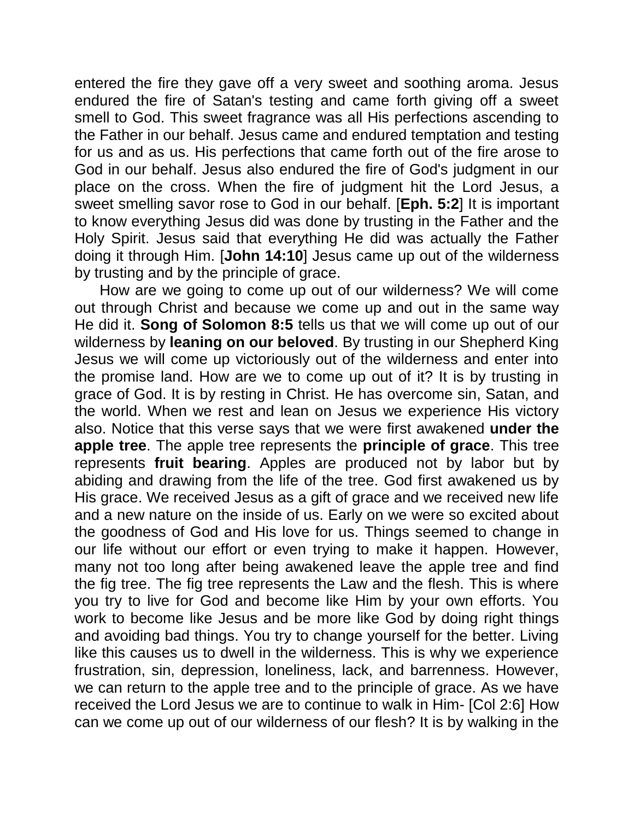entered the fire they gave off a very sweet and soothing aroma. Jesus endured the fire of Satan's testing and came forth giving off a sweet smell to God. This sweet fragrance was all His perfections ascending to the Father in our behalf. Jesus came and endured temptation and testing for us and as us. His perfections that came forth out of the fire arose to God in our behalf. Jesus also endured the fire of God's judgment in our place on the cross. When the fire of judgment hit the Lord Jesus, a sweet smelling savor rose to God in our behalf. [**Eph. 5:2**] It is important to know everything Jesus did was done by trusting in the Father and the Holy Spirit. Jesus said that everything He did was actually the Father doing it through Him. [**John 14:10**] Jesus came up out of the wilderness by trusting and by the principle of grace.

 How are we going to come up out of our wilderness? We will come out through Christ and because we come up and out in the same way He did it. **Song of Solomon 8:5** tells us that we will come up out of our wilderness by **leaning on our beloved**. By trusting in our Shepherd King Jesus we will come up victoriously out of the wilderness and enter into the promise land. How are we to come up out of it? It is by trusting in grace of God. It is by resting in Christ. He has overcome sin, Satan, and the world. When we rest and lean on Jesus we experience His victory also. Notice that this verse says that we were first awakened **under the apple tree**. The apple tree represents the **principle of grace**. This tree represents **fruit bearing**. Apples are produced not by labor but by abiding and drawing from the life of the tree. God first awakened us by His grace. We received Jesus as a gift of grace and we received new life and a new nature on the inside of us. Early on we were so excited about the goodness of God and His love for us. Things seemed to change in our life without our effort or even trying to make it happen. However, many not too long after being awakened leave the apple tree and find the fig tree. The fig tree represents the Law and the flesh. This is where you try to live for God and become like Him by your own efforts. You work to become like Jesus and be more like God by doing right things and avoiding bad things. You try to change yourself for the better. Living like this causes us to dwell in the wilderness. This is why we experience frustration, sin, depression, loneliness, lack, and barrenness. However, we can return to the apple tree and to the principle of grace. As we have received the Lord Jesus we are to continue to walk in Him- [Col 2:6] How can we come up out of our wilderness of our flesh? It is by walking in the